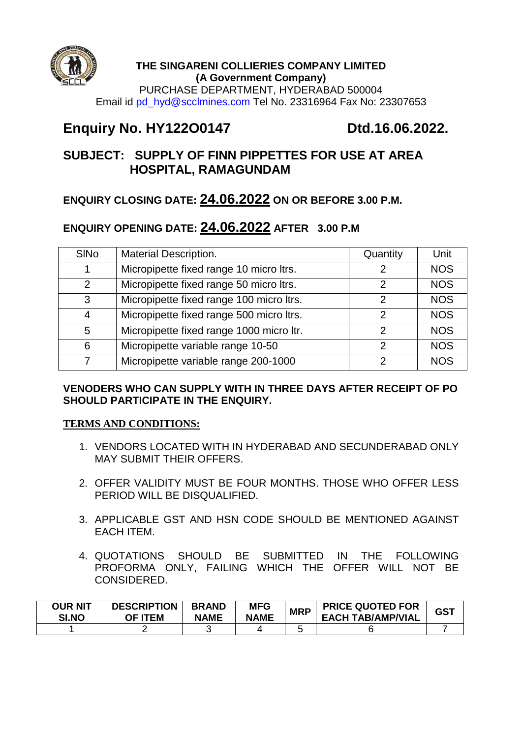

## **THE SINGARENI COLLIERIES COMPANY LIMITED (A Government Company)**

PURCHASE DEPARTMENT, HYDERABAD 500004 Email id pd\_hyd@scclmines.com Tel No. 23316964 Fax No: 23307653

# **Enquiry No. HY122O0147 Dtd.16.06.2022.**

# **SUBJECT: SUPPLY OF FINN PIPPETTES FOR USE AT AREA HOSPITAL, RAMAGUNDAM**

# **ENQUIRY CLOSING DATE: 24.06.2022 ON OR BEFORE 3.00 P.M.**

# **ENQUIRY OPENING DATE: 24.06.2022 AFTER 3.00 P.M**

| <b>SINo</b>   | <b>Material Description.</b>             | Quantity | Unit       |
|---------------|------------------------------------------|----------|------------|
|               | Micropipette fixed range 10 micro ltrs.  |          | <b>NOS</b> |
| $\mathcal{P}$ | Micropipette fixed range 50 micro ltrs.  | っ        | <b>NOS</b> |
| 3             | Micropipette fixed range 100 micro ltrs. | 2        | <b>NOS</b> |
| 4             | Micropipette fixed range 500 micro ltrs. | っ        | <b>NOS</b> |
| 5             | Micropipette fixed range 1000 micro ltr. | っ        | <b>NOS</b> |
| 6             | Micropipette variable range 10-50        | 2        | <b>NOS</b> |
|               | Micropipette variable range 200-1000     | ⌒        | <b>NOS</b> |

## **VENODERS WHO CAN SUPPLY WITH IN THREE DAYS AFTER RECEIPT OF PO SHOULD PARTICIPATE IN THE ENQUIRY.**

## **TERMS AND CONDITIONS:**

- 1. VENDORS LOCATED WITH IN HYDERABAD AND SECUNDERABAD ONLY MAY SUBMIT THEIR OFFERS.
- 2. OFFER VALIDITY MUST BE FOUR MONTHS. THOSE WHO OFFER LESS PERIOD WILL BE DISQUALIFIED.
- 3. APPLICABLE GST AND HSN CODE SHOULD BE MENTIONED AGAINST EACH ITEM.
- 4. QUOTATIONS SHOULD BE SUBMITTED IN THE FOLLOWING PROFORMA ONLY, FAILING WHICH THE OFFER WILL NOT BE CONSIDERED.

| <b>OUR NIT</b><br>SI.NO | <b>DESCRIPTION</b><br>OF ITEM | <b>BRAND</b><br><b>NAME</b> | <b>MFG</b><br><b>NAME</b> | <b>MRP</b> | <b>PRICE QUOTED FOR</b><br><b>EACH TAB/AMP/VIAL</b> | <b>GST</b> |
|-------------------------|-------------------------------|-----------------------------|---------------------------|------------|-----------------------------------------------------|------------|
|                         |                               |                             |                           |            |                                                     |            |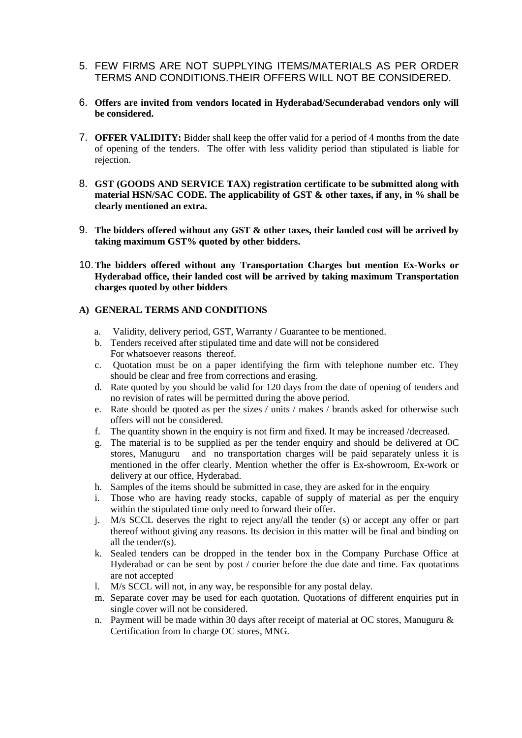- 5. FEW FIRMS ARE NOT SUPPLYING ITEMS/MATERIALS AS PER ORDER TERMS AND CONDITIONS.THEIR OFFERS WILL NOT BE CONSIDERED.
- 6. **Offers are invited from vendors located in Hyderabad/Secunderabad vendors only will be considered.**
- 7. **OFFER VALIDITY:** Bidder shall keep the offer valid for a period of 4 months from the date of opening of the tenders. The offer with less validity period than stipulated is liable for rejection.
- 8. **GST (GOODS AND SERVICE TAX) registration certificate to be submitted along with material HSN/SAC CODE. The applicability of GST & other taxes, if any, in % shall be clearly mentioned an extra.**
- 9. **The bidders offered without any GST & other taxes, their landed cost will be arrived by taking maximum GST% quoted by other bidders.**
- 10.**The bidders offered without any Transportation Charges but mention Ex-Works or Hyderabad office, their landed cost will be arrived by taking maximum Transportation charges quoted by other bidders**

### **A) GENERAL TERMS AND CONDITIONS**

- a. Validity, delivery period, GST, Warranty / Guarantee to be mentioned.
- b. Tenders received after stipulated time and date will not be considered For whatsoever reasons thereof.
- c. Quotation must be on a paper identifying the firm with telephone number etc. They should be clear and free from corrections and erasing.
- d. Rate quoted by you should be valid for 120 days from the date of opening of tenders and no revision of rates will be permitted during the above period.
- e. Rate should be quoted as per the sizes / units / makes / brands asked for otherwise such offers will not be considered.
- f. The quantity shown in the enquiry is not firm and fixed. It may be increased /decreased.
- g. The material is to be supplied as per the tender enquiry and should be delivered at OC stores, Manuguru and no transportation charges will be paid separately unless it is mentioned in the offer clearly. Mention whether the offer is Ex-showroom, Ex-work or delivery at our office, Hyderabad.
- h. Samples of the items should be submitted in case, they are asked for in the enquiry
- i. Those who are having ready stocks, capable of supply of material as per the enquiry within the stipulated time only need to forward their offer.
- j. M/s SCCL deserves the right to reject any/all the tender (s) or accept any offer or part thereof without giving any reasons. Its decision in this matter will be final and binding on all the tender/(s).
- k. Sealed tenders can be dropped in the tender box in the Company Purchase Office at Hyderabad or can be sent by post / courier before the due date and time. Fax quotations are not accepted
- l. M/s SCCL will not, in any way, be responsible for any postal delay.
- m. Separate cover may be used for each quotation. Quotations of different enquiries put in single cover will not be considered.
- n. Payment will be made within 30 days after receipt of material at OC stores, Manuguru & Certification from In charge OC stores, MNG.